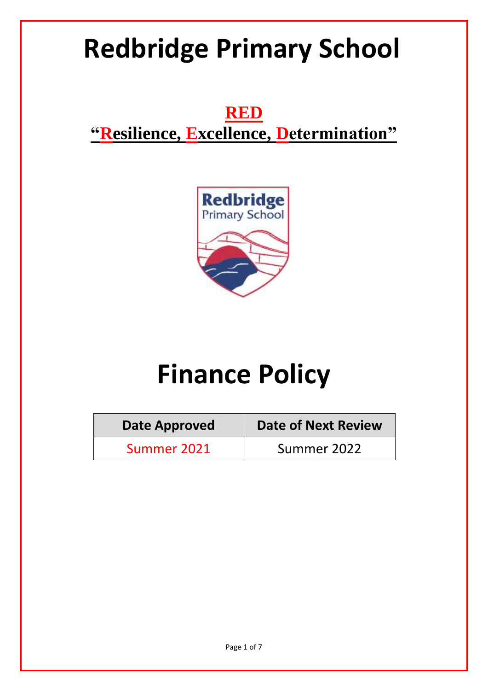# **Redbridge Primary School**

**RED "Resilience, Excellence, Determination"**



# **Finance Policy**

| <b>Date Approved</b> | <b>Date of Next Review</b> |
|----------------------|----------------------------|
| Summer 2021          | Summer 2022                |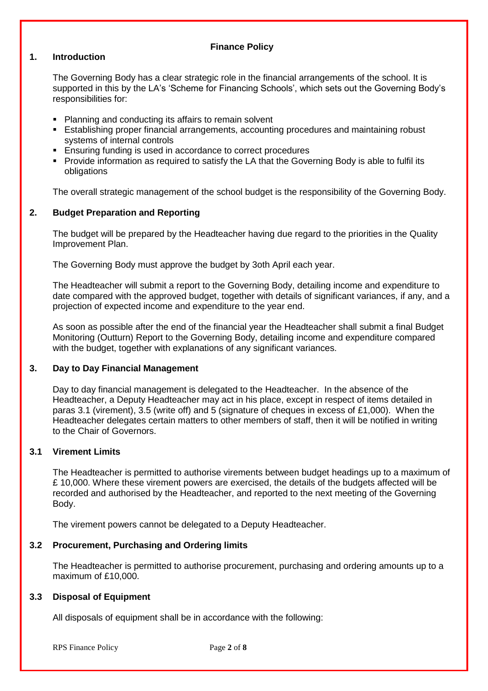# **Finance Policy**

# **1. Introduction**

The Governing Body has a clear strategic role in the financial arrangements of the school. It is supported in this by the LA's 'Scheme for Financing Schools', which sets out the Governing Body's responsibilities for:

- Planning and conducting its affairs to remain solvent
- Establishing proper financial arrangements, accounting procedures and maintaining robust systems of internal controls
- **Ensuring funding is used in accordance to correct procedures**
- **Provide information as required to satisfy the LA that the Governing Body is able to fulfil its** obligations

The overall strategic management of the school budget is the responsibility of the Governing Body.

# **2. Budget Preparation and Reporting**

The budget will be prepared by the Headteacher having due regard to the priorities in the Quality Improvement Plan.

The Governing Body must approve the budget by 3oth April each year.

The Headteacher will submit a report to the Governing Body, detailing income and expenditure to date compared with the approved budget, together with details of significant variances, if any, and a projection of expected income and expenditure to the year end.

As soon as possible after the end of the financial year the Headteacher shall submit a final Budget Monitoring (Outturn) Report to the Governing Body, detailing income and expenditure compared with the budget, together with explanations of any significant variances.

# **3. Day to Day Financial Management**

Day to day financial management is delegated to the Headteacher. In the absence of the Headteacher, a Deputy Headteacher may act in his place, except in respect of items detailed in paras 3.1 (virement), 3.5 (write off) and 5 (signature of cheques in excess of £1,000). When the Headteacher delegates certain matters to other members of staff, then it will be notified in writing to the Chair of Governors.

# **3.1 Virement Limits**

The Headteacher is permitted to authorise virements between budget headings up to a maximum of £ 10,000. Where these virement powers are exercised, the details of the budgets affected will be recorded and authorised by the Headteacher, and reported to the next meeting of the Governing Body.

The virement powers cannot be delegated to a Deputy Headteacher.

# **3.2 Procurement, Purchasing and Ordering limits**

The Headteacher is permitted to authorise procurement, purchasing and ordering amounts up to a maximum of £10,000.

### **3.3 Disposal of Equipment**

All disposals of equipment shall be in accordance with the following:

RPS Finance Policy Page **2** of **8**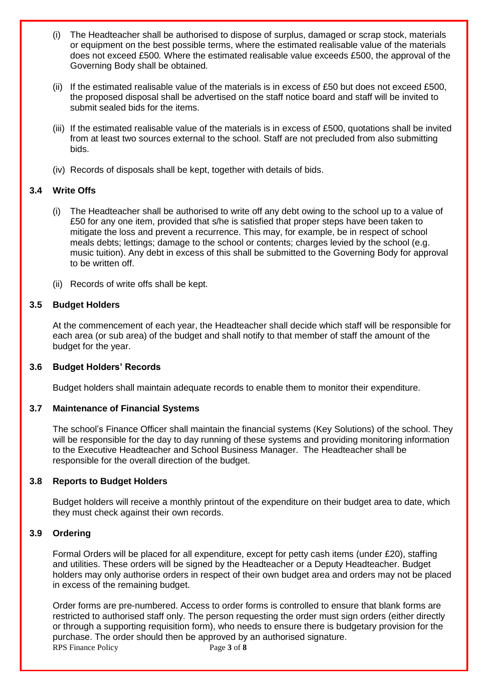- (i) The Headteacher shall be authorised to dispose of surplus, damaged or scrap stock, materials or equipment on the best possible terms, where the estimated realisable value of the materials does not exceed £500*.* Where the estimated realisable value exceeds £500, the approval of the Governing Body shall be obtained*.*
- (ii) If the estimated realisable value of the materials is in excess of £50 but does not exceed £500, the proposed disposal shall be advertised on the staff notice board and staff will be invited to submit sealed bids for the items.
- (iii) If the estimated realisable value of the materials is in excess of £500, quotations shall be invited from at least two sources external to the school. Staff are not precluded from also submitting bids.
- (iv) Records of disposals shall be kept, together with details of bids.

# **3.4 Write Offs**

- (i) The Headteacher shall be authorised to write off any debt owing to the school up to a value of £50 for any one item, provided that s/he is satisfied that proper steps have been taken to mitigate the loss and prevent a recurrence. This may, for example, be in respect of school meals debts; lettings; damage to the school or contents; charges levied by the school (e.g. music tuition). Any debt in excess of this shall be submitted to the Governing Body for approval to be written off.
- (ii) Records of write offs shall be kept.

# **3.5 Budget Holders**

At the commencement of each year, the Headteacher shall decide which staff will be responsible for each area (or sub area) of the budget and shall notify to that member of staff the amount of the budget for the year.

#### **3.6 Budget Holders' Records**

Budget holders shall maintain adequate records to enable them to monitor their expenditure.

# **3.7 Maintenance of Financial Systems**

The school's Finance Officer shall maintain the financial systems (Key Solutions) of the school. They will be responsible for the day to day running of these systems and providing monitoring information to the Executive Headteacher and School Business Manager. The Headteacher shall be responsible for the overall direction of the budget.

#### **3.8 Reports to Budget Holders**

Budget holders will receive a monthly printout of the expenditure on their budget area to date, which they must check against their own records.

#### **3.9 Ordering**

Formal Orders will be placed for all expenditure, except for petty cash items (under £20), staffing and utilities. These orders will be signed by the Headteacher or a Deputy Headteacher. Budget holders may only authorise orders in respect of their own budget area and orders may not be placed in excess of the remaining budget.

RPS Finance Policy Page **3** of **8** Order forms are pre-numbered. Access to order forms is controlled to ensure that blank forms are restricted to authorised staff only. The person requesting the order must sign orders (either directly or through a supporting requisition form), who needs to ensure there is budgetary provision for the purchase. The order should then be approved by an authorised signature.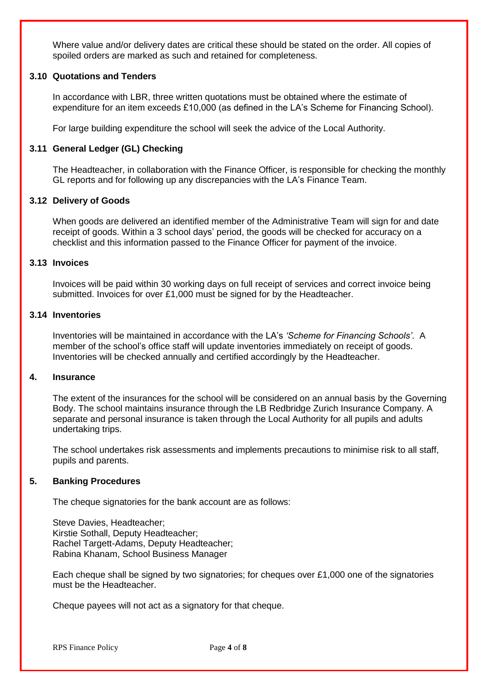Where value and/or delivery dates are critical these should be stated on the order. All copies of spoiled orders are marked as such and retained for completeness.

## **3.10 Quotations and Tenders**

In accordance with LBR, three written quotations must be obtained where the estimate of expenditure for an item exceeds £10,000 (as defined in the LA's Scheme for Financing School).

For large building expenditure the school will seek the advice of the Local Authority.

## **3.11 General Ledger (GL) Checking**

The Headteacher, in collaboration with the Finance Officer, is responsible for checking the monthly GL reports and for following up any discrepancies with the LA's Finance Team.

## **3.12 Delivery of Goods**

When goods are delivered an identified member of the Administrative Team will sign for and date receipt of goods. Within a 3 school days' period, the goods will be checked for accuracy on a checklist and this information passed to the Finance Officer for payment of the invoice.

#### **3.13 Invoices**

Invoices will be paid within 30 working days on full receipt of services and correct invoice being submitted. Invoices for over £1,000 must be signed for by the Headteacher.

#### **3.14 Inventories**

Inventories will be maintained in accordance with the LA's *'Scheme for Financing Schools'*. A member of the school's office staff will update inventories immediately on receipt of goods. Inventories will be checked annually and certified accordingly by the Headteacher.

### **4. Insurance**

The extent of the insurances for the school will be considered on an annual basis by the Governing Body. The school maintains insurance through the LB Redbridge Zurich Insurance Company. A separate and personal insurance is taken through the Local Authority for all pupils and adults undertaking trips.

The school undertakes risk assessments and implements precautions to minimise risk to all staff, pupils and parents.

#### **5. Banking Procedures**

The cheque signatories for the bank account are as follows:

Steve Davies, Headteacher; Kirstie Sothall, Deputy Headteacher; Rachel Targett-Adams, Deputy Headteacher; Rabina Khanam, School Business Manager

Each cheque shall be signed by two signatories; for cheques over £1,000 one of the signatories must be the Headteacher.

Cheque payees will not act as a signatory for that cheque.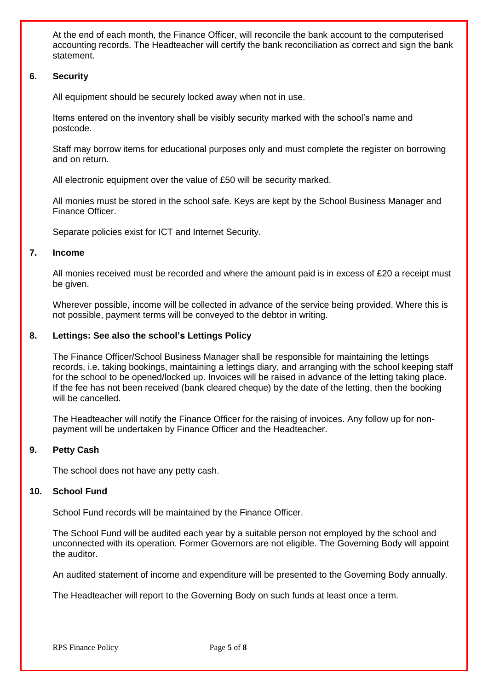At the end of each month, the Finance Officer, will reconcile the bank account to the computerised accounting records. The Headteacher will certify the bank reconciliation as correct and sign the bank statement.

## **6. Security**

All equipment should be securely locked away when not in use.

Items entered on the inventory shall be visibly security marked with the school's name and postcode.

Staff may borrow items for educational purposes only and must complete the register on borrowing and on return.

All electronic equipment over the value of £50 will be security marked.

All monies must be stored in the school safe. Keys are kept by the School Business Manager and Finance Officer.

Separate policies exist for ICT and Internet Security.

## **7. Income**

All monies received must be recorded and where the amount paid is in excess of £20 a receipt must be given.

Wherever possible, income will be collected in advance of the service being provided. Where this is not possible, payment terms will be conveyed to the debtor in writing.

## **8. Lettings: See also the school's Lettings Policy**

The Finance Officer/School Business Manager shall be responsible for maintaining the lettings records, i.e. taking bookings, maintaining a lettings diary, and arranging with the school keeping staff for the school to be opened/locked up. Invoices will be raised in advance of the letting taking place. If the fee has not been received (bank cleared cheque) by the date of the letting, then the booking will be cancelled.

The Headteacher will notify the Finance Officer for the raising of invoices. Any follow up for nonpayment will be undertaken by Finance Officer and the Headteacher.

# **9. Petty Cash**

The school does not have any petty cash.

### **10. School Fund**

School Fund records will be maintained by the Finance Officer.

The School Fund will be audited each year by a suitable person not employed by the school and unconnected with its operation. Former Governors are not eligible. The Governing Body will appoint the auditor.

An audited statement of income and expenditure will be presented to the Governing Body annually.

The Headteacher will report to the Governing Body on such funds at least once a term.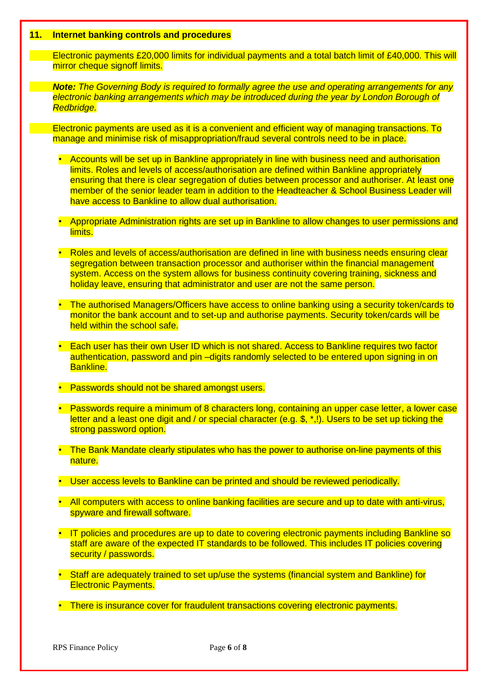#### **11. Internet banking controls and procedures**

Electronic payments £20,000 limits for individual payments and a total batch limit of £40,000. This will mirror cheque signoff limits.

*Note: The Governing Body is required to formally agree the use and operating arrangements for any electronic banking arrangements which may be introduced during the year by London Borough of Redbridge.*

Electronic payments are used as it is a convenient and efficient way of managing transactions. To manage and minimise risk of misappropriation/fraud several controls need to be in place.

- Accounts will be set up in Bankline appropriately in line with business need and authorisation limits. Roles and levels of access/authorisation are defined within Bankline appropriately ensuring that there is clear segregation of duties between processor and authoriser. At least one member of the senior leader team in addition to the Headteacher & School Business Leader will have access to Bankline to allow dual authorisation.
- Appropriate Administration rights are set up in Bankline to allow changes to user permissions and limits.
- Roles and levels of access/authorisation are defined in line with business needs ensuring clear segregation between transaction processor and authoriser within the financial management system. Access on the system allows for business continuity covering training, sickness and holiday leave, ensuring that administrator and user are not the same person.
- The authorised Managers/Officers have access to online banking using a security token/cards to monitor the bank account and to set-up and authorise payments. Security token/cards will be held within the school safe.
- Each user has their own User ID which is not shared. Access to Bankline requires two factor authentication, password and pin –digits randomly selected to be entered upon signing in on Bankline.
- Passwords should not be shared amongst users.
- Passwords require a minimum of 8 characters long, containing an upper case letter, a lower case letter and a least one digit and / or special character (e.g. \$, \*,!). Users to be set up ticking the strong password option.
- The Bank Mandate clearly stipulates who has the power to authorise on-line payments of this nature.
- User access levels to Bankline can be printed and should be reviewed periodically.
- All computers with access to online banking facilities are secure and up to date with anti-virus, spyware and firewall software.
- IT policies and procedures are up to date to covering electronic payments including Bankline so staff are aware of the expected IT standards to be followed. This includes IT policies covering security / passwords.
- Staff are adequately trained to set up/use the systems (financial system and Bankline) for Electronic Payments.
- There is insurance cover for fraudulent transactions covering electronic payments.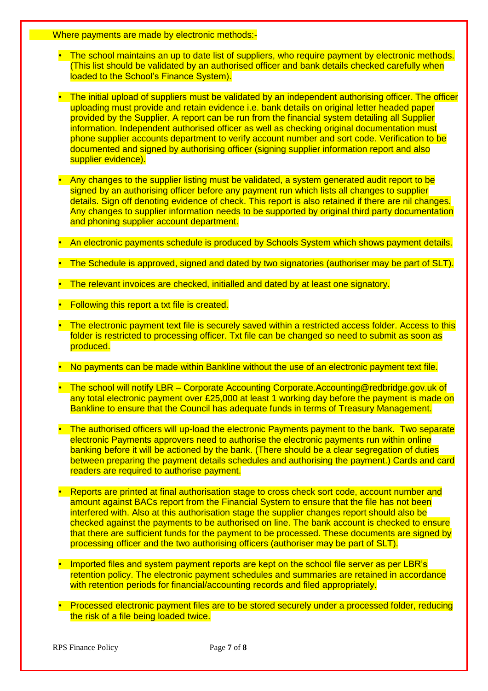Where payments are made by electronic methods:-

- The school maintains an up to date list of suppliers, who require payment by electronic methods. (This list should be validated by an authorised officer and bank details checked carefully when loaded to the School's Finance System).
- The initial upload of suppliers must be validated by an independent authorising officer. The officer uploading must provide and retain evidence i.e. bank details on original letter headed paper provided by the Supplier. A report can be run from the financial system detailing all Supplier information. Independent authorised officer as well as checking original documentation must phone supplier accounts department to verify account number and sort code. Verification to be documented and signed by authorising officer (signing supplier information report and also supplier evidence).
- Any changes to the supplier listing must be validated, a system generated audit report to be signed by an authorising officer before any payment run which lists all changes to supplier details. Sign off denoting evidence of check. This report is also retained if there are nil changes. Any changes to supplier information needs to be supported by original third party documentation and phoning supplier account department.
- An electronic payments schedule is produced by Schools System which shows payment details.
- The Schedule is approved, signed and dated by two signatories (authoriser may be part of SLT).
- The relevant invoices are checked, initialled and dated by at least one signatory.
- Following this report a txt file is created.
- The electronic payment text file is securely saved within a restricted access folder. Access to this folder is restricted to processing officer. Txt file can be changed so need to submit as soon as produced.
- No payments can be made within Bankline without the use of an electronic payment text file.
- The school will notify LBR Corporate Accounting Corporate.Accounting@redbridge.gov.uk of any total electronic payment over £25,000 at least 1 working day before the payment is made on Bankline to ensure that the Council has adequate funds in terms of Treasury Management.
- The authorised officers will up-load the electronic Payments payment to the bank. Two separate electronic Payments approvers need to authorise the electronic payments run within online banking before it will be actioned by the bank. (There should be a clear segregation of duties between preparing the payment details schedules and authorising the payment.) Cards and card readers are required to authorise payment.
- Reports are printed at final authorisation stage to cross check sort code, account number and amount against BACs report from the Financial System to ensure that the file has not been interfered with. Also at this authorisation stage the supplier changes report should also be checked against the payments to be authorised on line. The bank account is checked to ensure that there are sufficient funds for the payment to be processed. These documents are signed by processing officer and the two authorising officers (authoriser may be part of SLT).
- Imported files and system payment reports are kept on the school file server as per LBR's retention policy. The electronic payment schedules and summaries are retained in accordance with retention periods for financial/accounting records and filed appropriately.
- Processed electronic payment files are to be stored securely under a processed folder, reducing the risk of a file being loaded twice.